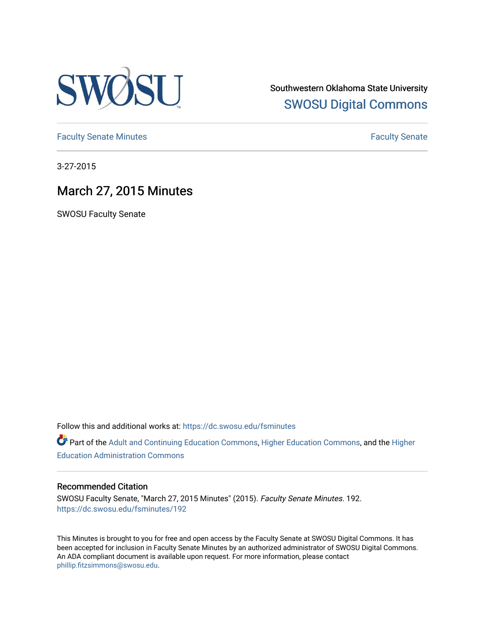

Southwestern Oklahoma State University [SWOSU Digital Commons](https://dc.swosu.edu/) 

[Faculty Senate Minutes](https://dc.swosu.edu/fsminutes) **Faculty** Senate Minutes

3-27-2015

# March 27, 2015 Minutes

SWOSU Faculty Senate

Follow this and additional works at: [https://dc.swosu.edu/fsminutes](https://dc.swosu.edu/fsminutes?utm_source=dc.swosu.edu%2Ffsminutes%2F192&utm_medium=PDF&utm_campaign=PDFCoverPages) 

Part of the [Adult and Continuing Education Commons,](http://network.bepress.com/hgg/discipline/1375?utm_source=dc.swosu.edu%2Ffsminutes%2F192&utm_medium=PDF&utm_campaign=PDFCoverPages) [Higher Education Commons,](http://network.bepress.com/hgg/discipline/1245?utm_source=dc.swosu.edu%2Ffsminutes%2F192&utm_medium=PDF&utm_campaign=PDFCoverPages) and the [Higher](http://network.bepress.com/hgg/discipline/791?utm_source=dc.swosu.edu%2Ffsminutes%2F192&utm_medium=PDF&utm_campaign=PDFCoverPages) [Education Administration Commons](http://network.bepress.com/hgg/discipline/791?utm_source=dc.swosu.edu%2Ffsminutes%2F192&utm_medium=PDF&utm_campaign=PDFCoverPages) 

#### Recommended Citation

SWOSU Faculty Senate, "March 27, 2015 Minutes" (2015). Faculty Senate Minutes. 192. [https://dc.swosu.edu/fsminutes/192](https://dc.swosu.edu/fsminutes/192?utm_source=dc.swosu.edu%2Ffsminutes%2F192&utm_medium=PDF&utm_campaign=PDFCoverPages) 

This Minutes is brought to you for free and open access by the Faculty Senate at SWOSU Digital Commons. It has been accepted for inclusion in Faculty Senate Minutes by an authorized administrator of SWOSU Digital Commons. An ADA compliant document is available upon request. For more information, please contact [phillip.fitzsimmons@swosu.edu](mailto:phillip.fitzsimmons@swosu.edu).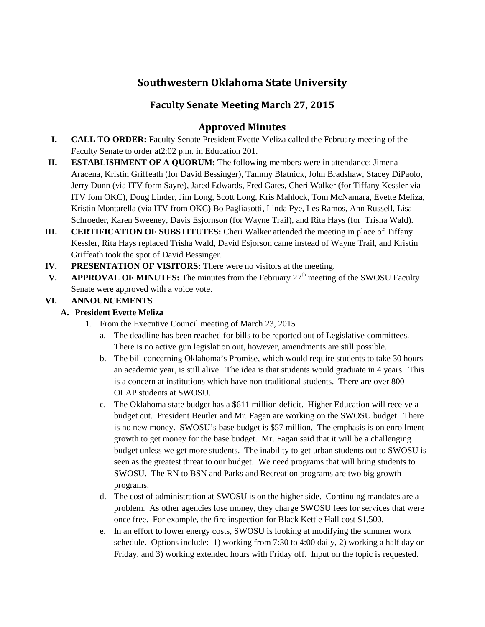## **Southwestern Oklahoma State University**

## **Faculty Senate Meeting March 27, 2015**

## **Approved Minutes**

- **I. CALL TO ORDER:** Faculty Senate President Evette Meliza called the February meeting of the Faculty Senate to order at2:02 p.m. in Education 201.
- **II. ESTABLISHMENT OF A QUORUM:** The following members were in attendance: Jimena Aracena, Kristin Griffeath (for David Bessinger), Tammy Blatnick, John Bradshaw, Stacey DiPaolo, Jerry Dunn (via ITV form Sayre), Jared Edwards, Fred Gates, Cheri Walker (for Tiffany Kessler via ITV fom OKC), Doug Linder, Jim Long, Scott Long, Kris Mahlock, Tom McNamara, Evette Meliza, Kristin Montarella (via ITV from OKC) Bo Pagliasotti, Linda Pye, Les Ramos, Ann Russell, Lisa Schroeder, Karen Sweeney, Davis Esjornson (for Wayne Trail), and Rita Hays (for Trisha Wald).
- **III. CERTIFICATION OF SUBSTITUTES:** Cheri Walker attended the meeting in place of Tiffany Kessler, Rita Hays replaced Trisha Wald, David Esjorson came instead of Wayne Trail, and Kristin Griffeath took the spot of David Bessinger.
- **IV. PRESENTATION OF VISITORS:** There were no visitors at the meeting.
- **V. APPROVAL OF MINUTES:** The minutes from the February  $27<sup>th</sup>$  meeting of the SWOSU Faculty Senate were approved with a voice vote.

## **VI. ANNOUNCEMENTS**

### **A. President Evette Meliza**

- 1. From the Executive Council meeting of March 23, 2015
	- a. The deadline has been reached for bills to be reported out of Legislative committees. There is no active gun legislation out, however, amendments are still possible.
	- b. The bill concerning Oklahoma's Promise, which would require students to take 30 hours an academic year, is still alive. The idea is that students would graduate in 4 years. This is a concern at institutions which have non-traditional students. There are over 800 OLAP students at SWOSU.
	- c. The Oklahoma state budget has a \$611 million deficit. Higher Education will receive a budget cut. President Beutler and Mr. Fagan are working on the SWOSU budget. There is no new money. SWOSU's base budget is \$57 million. The emphasis is on enrollment growth to get money for the base budget. Mr. Fagan said that it will be a challenging budget unless we get more students. The inability to get urban students out to SWOSU is seen as the greatest threat to our budget. We need programs that will bring students to SWOSU. The RN to BSN and Parks and Recreation programs are two big growth programs.
	- d. The cost of administration at SWOSU is on the higher side. Continuing mandates are a problem. As other agencies lose money, they charge SWOSU fees for services that were once free. For example, the fire inspection for Black Kettle Hall cost \$1,500.
	- e. In an effort to lower energy costs, SWOSU is looking at modifying the summer work schedule. Options include: 1) working from 7:30 to 4:00 daily, 2) working a half day on Friday, and 3) working extended hours with Friday off. Input on the topic is requested.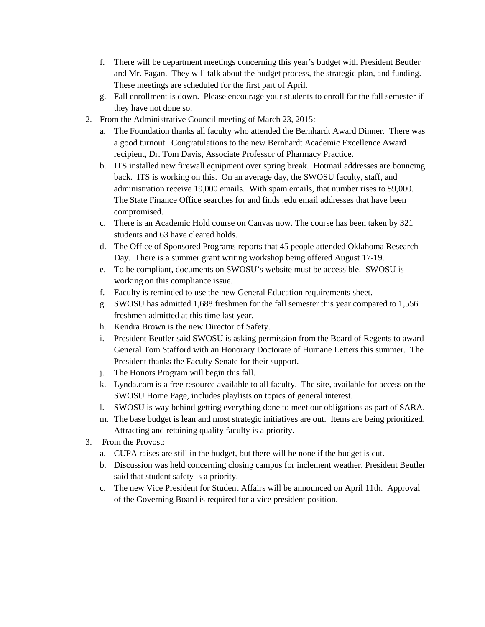- f. There will be department meetings concerning this year's budget with President Beutler and Mr. Fagan. They will talk about the budget process, the strategic plan, and funding. These meetings are scheduled for the first part of April.
- g. Fall enrollment is down. Please encourage your students to enroll for the fall semester if they have not done so.
- 2. From the Administrative Council meeting of March 23, 2015:
	- a. The Foundation thanks all faculty who attended the Bernhardt Award Dinner. There was a good turnout. Congratulations to the new Bernhardt Academic Excellence Award recipient, Dr. Tom Davis, Associate Professor of Pharmacy Practice.
	- b. ITS installed new firewall equipment over spring break. Hotmail addresses are bouncing back. ITS is working on this. On an average day, the SWOSU faculty, staff, and administration receive 19,000 emails. With spam emails, that number rises to 59,000. The State Finance Office searches for and finds .edu email addresses that have been compromised.
	- c. There is an Academic Hold course on Canvas now. The course has been taken by 321 students and 63 have cleared holds.
	- d. The Office of Sponsored Programs reports that 45 people attended Oklahoma Research Day. There is a summer grant writing workshop being offered August 17-19.
	- e. To be compliant, documents on SWOSU's website must be accessible. SWOSU is working on this compliance issue.
	- f. Faculty is reminded to use the new General Education requirements sheet.
	- g. SWOSU has admitted 1,688 freshmen for the fall semester this year compared to 1,556 freshmen admitted at this time last year.
	- h. Kendra Brown is the new Director of Safety.
	- i. President Beutler said SWOSU is asking permission from the Board of Regents to award General Tom Stafford with an Honorary Doctorate of Humane Letters this summer. The President thanks the Faculty Senate for their support.
	- j. The Honors Program will begin this fall.
	- k. Lynda.com is a free resource available to all faculty. The site, available for access on the SWOSU Home Page, includes playlists on topics of general interest.
	- l. SWOSU is way behind getting everything done to meet our obligations as part of SARA.
	- m. The base budget is lean and most strategic initiatives are out. Items are being prioritized. Attracting and retaining quality faculty is a priority.
- 3. From the Provost:
	- a. CUPA raises are still in the budget, but there will be none if the budget is cut.
	- b. Discussion was held concerning closing campus for inclement weather. President Beutler said that student safety is a priority.
	- c. The new Vice President for Student Affairs will be announced on April 11th. Approval of the Governing Board is required for a vice president position.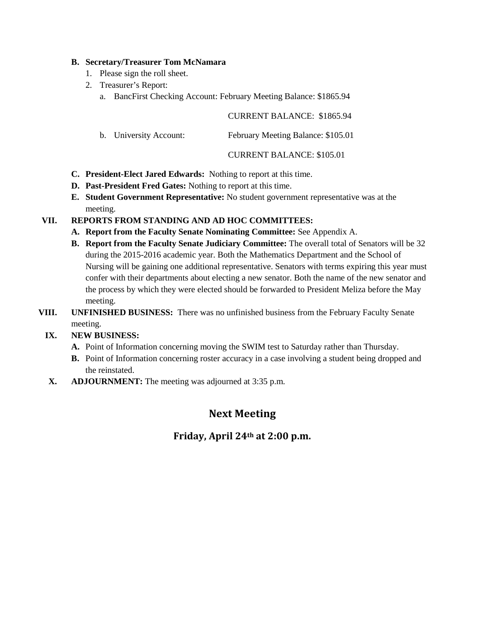#### **B. Secretary/Treasurer Tom McNamara**

- 1. Please sign the roll sheet.
- 2. Treasurer's Report:
	- a. BancFirst Checking Account: February Meeting Balance: \$1865.94

#### CURRENT BALANCE: \$1865.94

b. University Account: February Meeting Balance: \$105.01

#### CURRENT BALANCE: \$105.01

- **C. President-Elect Jared Edwards:** Nothing to report at this time.
- **D. Past-President Fred Gates:** Nothing to report at this time.
- **E. Student Government Representative:** No student government representative was at the meeting.

### **VII. REPORTS FROM STANDING AND AD HOC COMMITTEES:**

- **A. Report from the Faculty Senate Nominating Committee:** See Appendix A.
- **B. Report from the Faculty Senate Judiciary Committee:** The overall total of Senators will be 32 during the 2015-2016 academic year. Both the Mathematics Department and the School of Nursing will be gaining one additional representative. Senators with terms expiring this year must confer with their departments about electing a new senator. Both the name of the new senator and the process by which they were elected should be forwarded to President Meliza before the May meeting.
- **VIII. UNFINISHED BUSINESS:** There was no unfinished business from the February Faculty Senate meeting.

### **IX. NEW BUSINESS:**

- **A.** Point of Information concerning moving the SWIM test to Saturday rather than Thursday.
- **B.** Point of Information concerning roster accuracy in a case involving a student being dropped and the reinstated.
- **X. ADJOURNMENT:** The meeting was adjourned at 3:35 p.m.

## **Next Meeting**

## **Friday, April 24th at 2:00 p.m.**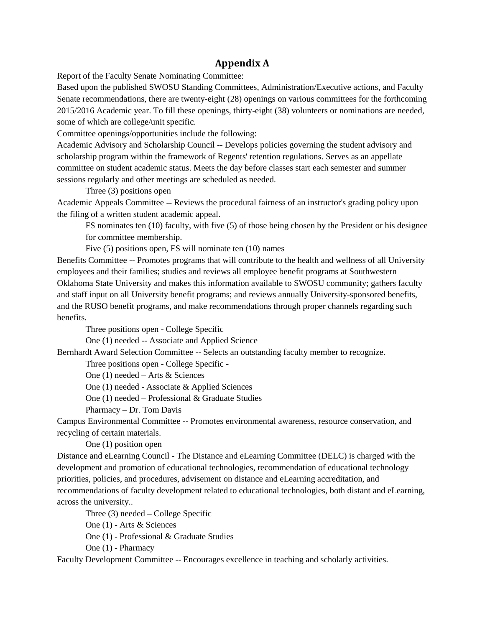## **Appendix A**

Report of the Faculty Senate Nominating Committee:

Based upon the published SWOSU Standing Committees, Administration/Executive actions, and Faculty Senate recommendations, there are twenty-eight (28) openings on various committees for the forthcoming 2015/2016 Academic year. To fill these openings, thirty-eight (38) volunteers or nominations are needed, some of which are college/unit specific.

Committee openings/opportunities include the following:

Academic Advisory and Scholarship Council -- Develops policies governing the student advisory and scholarship program within the framework of Regents' retention regulations. Serves as an appellate committee on student academic status. Meets the day before classes start each semester and summer sessions regularly and other meetings are scheduled as needed.

Three (3) positions open

Academic Appeals Committee -- Reviews the procedural fairness of an instructor's grading policy upon the filing of a written student academic appeal.

FS nominates ten (10) faculty, with five (5) of those being chosen by the President or his designee for committee membership.

Five (5) positions open, FS will nominate ten (10) names

Benefits Committee -- Promotes programs that will contribute to the health and wellness of all University employees and their families; studies and reviews all employee benefit programs at Southwestern Oklahoma State University and makes this information available to SWOSU community; gathers faculty and staff input on all University benefit programs; and reviews annually University-sponsored benefits, and the RUSO benefit programs, and make recommendations through proper channels regarding such benefits.

Three positions open - College Specific

One (1) needed -- Associate and Applied Science

Bernhardt Award Selection Committee -- Selects an outstanding faculty member to recognize.

Three positions open - College Specific -

One (1) needed – Arts & Sciences

One (1) needed - Associate & Applied Sciences

One (1) needed – Professional & Graduate Studies

Pharmacy – Dr. Tom Davis

Campus Environmental Committee -- Promotes environmental awareness, resource conservation, and recycling of certain materials.

One (1) position open

Distance and eLearning Council - The Distance and eLearning Committee (DELC) is charged with the development and promotion of educational technologies, recommendation of educational technology priorities, policies, and procedures, advisement on distance and eLearning accreditation, and recommendations of faculty development related to educational technologies, both distant and eLearning, across the university..

Three (3) needed – College Specific

One (1) - Arts & Sciences

One (1) - Professional & Graduate Studies

One (1) - Pharmacy

Faculty Development Committee -- Encourages excellence in teaching and scholarly activities.